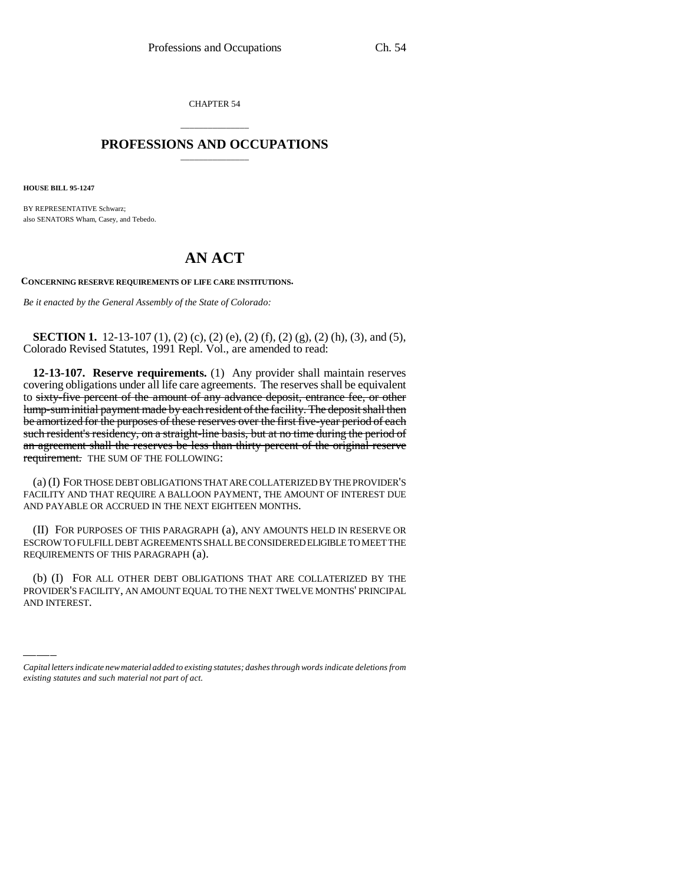CHAPTER 54

## \_\_\_\_\_\_\_\_\_\_\_\_\_\_\_ **PROFESSIONS AND OCCUPATIONS** \_\_\_\_\_\_\_\_\_\_\_\_\_\_\_

**HOUSE BILL 95-1247**

BY REPRESENTATIVE Schwarz; also SENATORS Wham, Casey, and Tebedo.

## **AN ACT**

**CONCERNING RESERVE REQUIREMENTS OF LIFE CARE INSTITUTIONS.**

*Be it enacted by the General Assembly of the State of Colorado:*

**SECTION 1.** 12-13-107 (1), (2) (c), (2) (e), (2) (f), (2) (g), (2) (h), (3), and (5), Colorado Revised Statutes, 1991 Repl. Vol., are amended to read:

**12-13-107. Reserve requirements.** (1) Any provider shall maintain reserves covering obligations under all life care agreements. The reserves shall be equivalent to sixty-five percent of the amount of any advance deposit, entrance fee, or other lump-sum initial payment made by each resident of the facility. The deposit shall then be amortized for the purposes of these reserves over the first five-year period of each such resident's residency, on a straight-line basis, but at no time during the period of an agreement shall the reserves be less than thirty percent of the original reserve requirement. THE SUM OF THE FOLLOWING:

(a) (I) FOR THOSE DEBT OBLIGATIONS THAT ARE COLLATERIZED BY THE PROVIDER'S FACILITY AND THAT REQUIRE A BALLOON PAYMENT, THE AMOUNT OF INTEREST DUE AND PAYABLE OR ACCRUED IN THE NEXT EIGHTEEN MONTHS.

(II) FOR PURPOSES OF THIS PARAGRAPH (a), ANY AMOUNTS HELD IN RESERVE OR ESCROW TO FULFILL DEBT AGREEMENTS SHALL BE CONSIDERED ELIGIBLE TO MEET THE REQUIREMENTS OF THIS PARAGRAPH (a).

(b) (I) FOR ALL OTHER DEBT OBLIGATIONS THAT ARE COLLATERIZED BY THE PROVIDER'S FACILITY, AN AMOUNT EQUAL TO THE NEXT TWELVE MONTHS' PRINCIPAL AND INTEREST.

*Capital letters indicate new material added to existing statutes; dashes through words indicate deletions from existing statutes and such material not part of act.*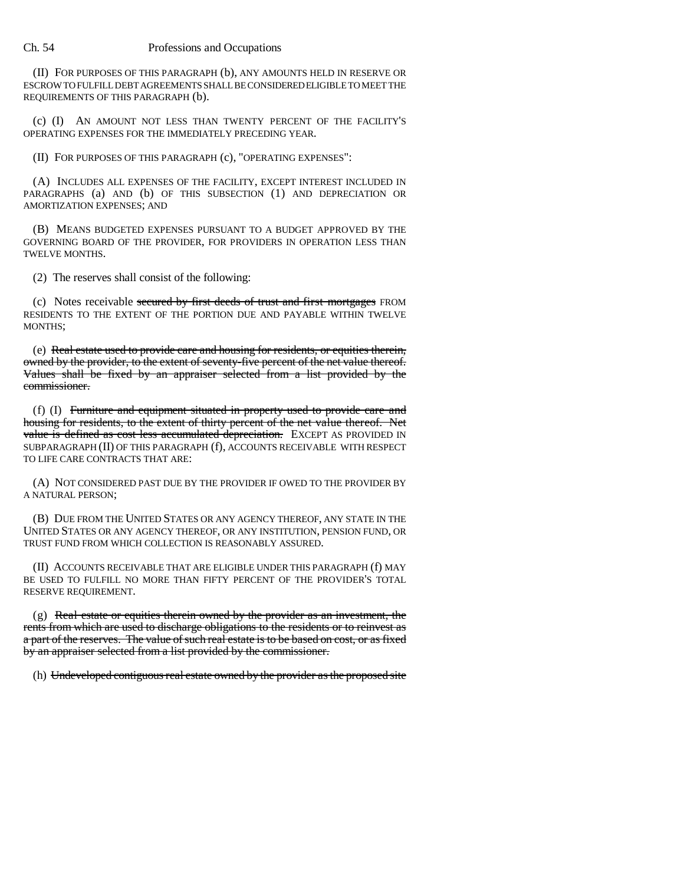## Ch. 54 Professions and Occupations

(II) FOR PURPOSES OF THIS PARAGRAPH (b), ANY AMOUNTS HELD IN RESERVE OR ESCROW TO FULFILL DEBT AGREEMENTS SHALL BE CONSIDERED ELIGIBLE TO MEET THE REQUIREMENTS OF THIS PARAGRAPH (b).

(c) (I) AN AMOUNT NOT LESS THAN TWENTY PERCENT OF THE FACILITY'S OPERATING EXPENSES FOR THE IMMEDIATELY PRECEDING YEAR.

(II) FOR PURPOSES OF THIS PARAGRAPH (c), "OPERATING EXPENSES":

(A) INCLUDES ALL EXPENSES OF THE FACILITY, EXCEPT INTEREST INCLUDED IN PARAGRAPHS (a) AND (b) OF THIS SUBSECTION (1) AND DEPRECIATION OR AMORTIZATION EXPENSES; AND

(B) MEANS BUDGETED EXPENSES PURSUANT TO A BUDGET APPROVED BY THE GOVERNING BOARD OF THE PROVIDER, FOR PROVIDERS IN OPERATION LESS THAN TWELVE MONTHS.

(2) The reserves shall consist of the following:

(c) Notes receivable secured by first deeds of trust and first mortgages FROM RESIDENTS TO THE EXTENT OF THE PORTION DUE AND PAYABLE WITHIN TWELVE MONTHS;

(e) Real estate used to provide care and housing for residents, or equities therein, owned by the provider, to the extent of seventy-five percent of the net value thereof. Values shall be fixed by an appraiser selected from a list provided by the commissioner.

(f) (I) Furniture and equipment situated in property used to provide care and housing for residents, to the extent of thirty percent of the net value thereof. Net value is defined as cost less accumulated depreciation. EXCEPT AS PROVIDED IN SUBPARAGRAPH (II) OF THIS PARAGRAPH (f), ACCOUNTS RECEIVABLE WITH RESPECT TO LIFE CARE CONTRACTS THAT ARE:

(A) NOT CONSIDERED PAST DUE BY THE PROVIDER IF OWED TO THE PROVIDER BY A NATURAL PERSON;

(B) DUE FROM THE UNITED STATES OR ANY AGENCY THEREOF, ANY STATE IN THE UNITED STATES OR ANY AGENCY THEREOF, OR ANY INSTITUTION, PENSION FUND, OR TRUST FUND FROM WHICH COLLECTION IS REASONABLY ASSURED.

(II) ACCOUNTS RECEIVABLE THAT ARE ELIGIBLE UNDER THIS PARAGRAPH (f) MAY BE USED TO FULFILL NO MORE THAN FIFTY PERCENT OF THE PROVIDER'S TOTAL RESERVE REQUIREMENT.

 $(g)$  Real estate or equities therein owned by the provider as an investment, the rents from which are used to discharge obligations to the residents or to reinvest as a part of the reserves. The value of such real estate is to be based on cost, or as fixed by an appraiser selected from a list provided by the commissioner.

(h) Undeveloped contiguous real estate owned by the provider as the proposed site